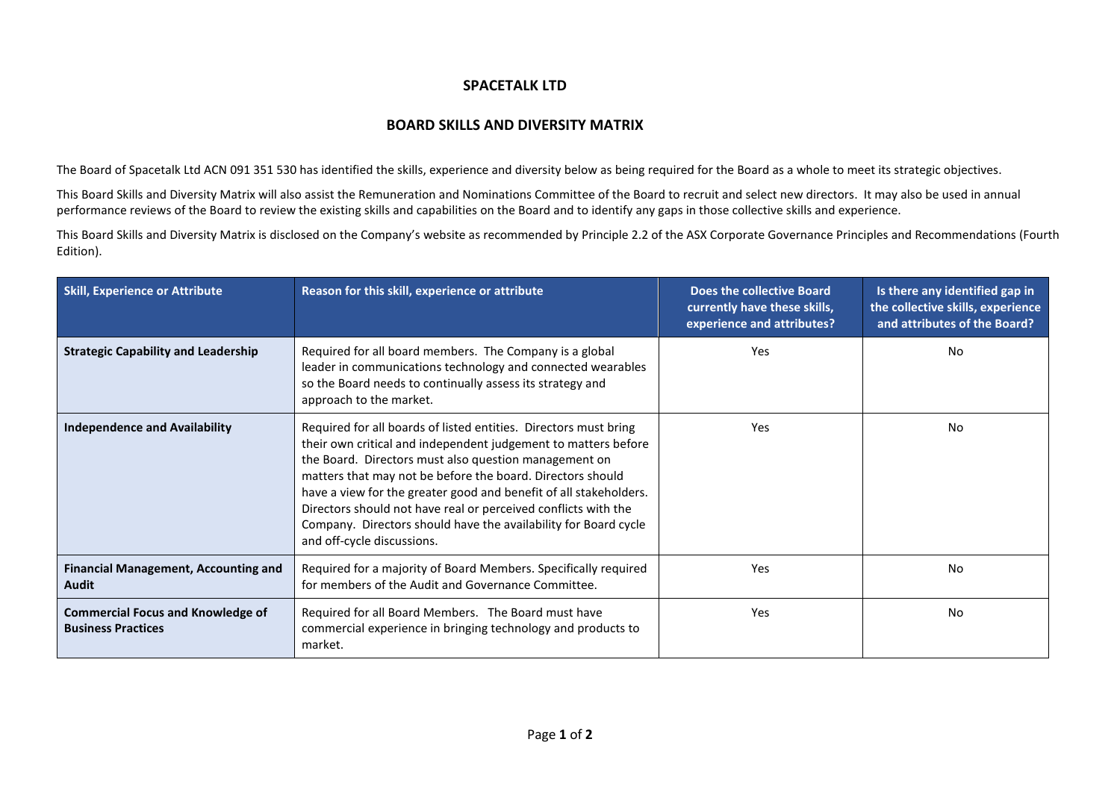## **SPACETALK LTD**

## **BOARD SKILLS AND DIVERSITY MATRIX**

The Board of Spacetalk Ltd ACN 091 351 530 has identified the skills, experience and diversity below as being required for the Board as a whole to meet its strategic objectives.

This Board Skills and Diversity Matrix will also assist the Remuneration and Nominations Committee of the Board to recruit and select new directors. It may also be used in annual performance reviews of the Board to review the existing skills and capabilities on the Board and to identify any gaps in those collective skills and experience.

This Board Skills and Diversity Matrix is disclosed on the Company's website as recommended by Principle 2.2 of the ASX Corporate Governance Principles and Recommendations (Fourth Edition).

| <b>Skill, Experience or Attribute</b>                                 | Reason for this skill, experience or attribute                                                                                                                                                                                                                                                                                                                                                                                                                                                    | Does the collective Board<br>currently have these skills,<br>experience and attributes? | Is there any identified gap in<br>the collective skills, experience<br>and attributes of the Board? |
|-----------------------------------------------------------------------|---------------------------------------------------------------------------------------------------------------------------------------------------------------------------------------------------------------------------------------------------------------------------------------------------------------------------------------------------------------------------------------------------------------------------------------------------------------------------------------------------|-----------------------------------------------------------------------------------------|-----------------------------------------------------------------------------------------------------|
| <b>Strategic Capability and Leadership</b>                            | Required for all board members. The Company is a global<br>leader in communications technology and connected wearables<br>so the Board needs to continually assess its strategy and<br>approach to the market.                                                                                                                                                                                                                                                                                    | Yes                                                                                     | No.                                                                                                 |
| <b>Independence and Availability</b>                                  | Required for all boards of listed entities. Directors must bring<br>their own critical and independent judgement to matters before<br>the Board. Directors must also question management on<br>matters that may not be before the board. Directors should<br>have a view for the greater good and benefit of all stakeholders.<br>Directors should not have real or perceived conflicts with the<br>Company. Directors should have the availability for Board cycle<br>and off-cycle discussions. | Yes                                                                                     | No.                                                                                                 |
| <b>Financial Management, Accounting and</b><br>Audit                  | Required for a majority of Board Members. Specifically required<br>for members of the Audit and Governance Committee.                                                                                                                                                                                                                                                                                                                                                                             | Yes                                                                                     | No                                                                                                  |
| <b>Commercial Focus and Knowledge of</b><br><b>Business Practices</b> | Required for all Board Members. The Board must have<br>commercial experience in bringing technology and products to<br>market.                                                                                                                                                                                                                                                                                                                                                                    | Yes                                                                                     | No                                                                                                  |